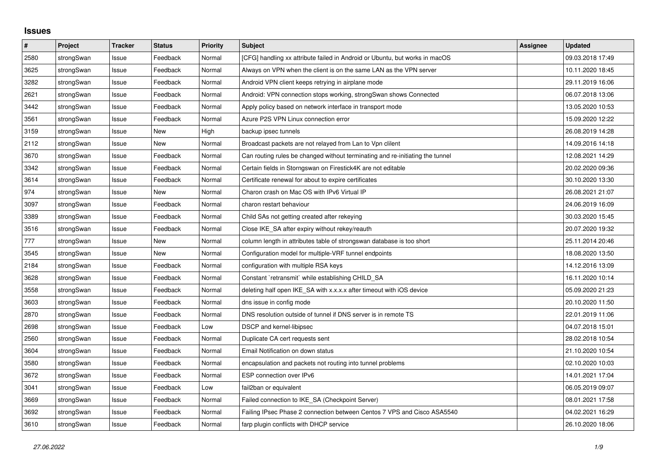## **Issues**

| #    | Project    | <b>Tracker</b> | <b>Status</b> | <b>Priority</b> | <b>Subject</b>                                                                | <b>Assignee</b> | <b>Updated</b>   |
|------|------------|----------------|---------------|-----------------|-------------------------------------------------------------------------------|-----------------|------------------|
| 2580 | strongSwan | Issue          | Feedback      | Normal          | [CFG] handling xx attribute failed in Android or Ubuntu, but works in macOS   |                 | 09.03.2018 17:49 |
| 3625 | strongSwan | Issue          | Feedback      | Normal          | Always on VPN when the client is on the same LAN as the VPN server            |                 | 10.11.2020 18:45 |
| 3282 | strongSwan | Issue          | Feedback      | Normal          | Android VPN client keeps retrying in airplane mode                            |                 | 29.11.2019 16:06 |
| 2621 | strongSwan | Issue          | Feedback      | Normal          | Android: VPN connection stops working, strongSwan shows Connected             |                 | 06.07.2018 13:06 |
| 3442 | strongSwan | Issue          | Feedback      | Normal          | Apply policy based on network interface in transport mode                     |                 | 13.05.2020 10:53 |
| 3561 | strongSwan | Issue          | Feedback      | Normal          | Azure P2S VPN Linux connection error                                          |                 | 15.09.2020 12:22 |
| 3159 | strongSwan | Issue          | <b>New</b>    | High            | backup ipsec tunnels                                                          |                 | 26.08.2019 14:28 |
| 2112 | strongSwan | Issue          | <b>New</b>    | Normal          | Broadcast packets are not relayed from Lan to Vpn clilent                     |                 | 14.09.2016 14:18 |
| 3670 | strongSwan | Issue          | Feedback      | Normal          | Can routing rules be changed without terminating and re-initiating the tunnel |                 | 12.08.2021 14:29 |
| 3342 | strongSwan | Issue          | Feedback      | Normal          | Certain fields in Storngswan on Firestick4K are not editable                  |                 | 20.02.2020 09:36 |
| 3614 | strongSwan | Issue          | Feedback      | Normal          | Certificate renewal for about to expire certificates                          |                 | 30.10.2020 13:30 |
| 974  | strongSwan | Issue          | New           | Normal          | Charon crash on Mac OS with IPv6 Virtual IP                                   |                 | 26.08.2021 21:07 |
| 3097 | strongSwan | Issue          | Feedback      | Normal          | charon restart behaviour                                                      |                 | 24.06.2019 16:09 |
| 3389 | strongSwan | Issue          | Feedback      | Normal          | Child SAs not getting created after rekeying                                  |                 | 30.03.2020 15:45 |
| 3516 | strongSwan | Issue          | Feedback      | Normal          | Close IKE SA after expiry without rekey/reauth                                |                 | 20.07.2020 19:32 |
| 777  | strongSwan | Issue          | New           | Normal          | column length in attributes table of strongswan database is too short         |                 | 25.11.2014 20:46 |
| 3545 | strongSwan | Issue          | New           | Normal          | Configuration model for multiple-VRF tunnel endpoints                         |                 | 18.08.2020 13:50 |
| 2184 | strongSwan | Issue          | Feedback      | Normal          | configuration with multiple RSA keys                                          |                 | 14.12.2016 13:09 |
| 3628 | strongSwan | Issue          | Feedback      | Normal          | Constant `retransmit` while establishing CHILD SA                             |                 | 16.11.2020 10:14 |
| 3558 | strongSwan | Issue          | Feedback      | Normal          | deleting half open IKE_SA with x.x.x.x after timeout with iOS device          |                 | 05.09.2020 21:23 |
| 3603 | strongSwan | Issue          | Feedback      | Normal          | dns issue in config mode                                                      |                 | 20.10.2020 11:50 |
| 2870 | strongSwan | Issue          | Feedback      | Normal          | DNS resolution outside of tunnel if DNS server is in remote TS                |                 | 22.01.2019 11:06 |
| 2698 | strongSwan | Issue          | Feedback      | Low             | <b>DSCP</b> and kernel-libipsec                                               |                 | 04.07.2018 15:01 |
| 2560 | strongSwan | Issue          | Feedback      | Normal          | Duplicate CA cert requests sent                                               |                 | 28.02.2018 10:54 |
| 3604 | strongSwan | Issue          | Feedback      | Normal          | Email Notification on down status                                             |                 | 21.10.2020 10:54 |
| 3580 | strongSwan | Issue          | Feedback      | Normal          | encapsulation and packets not routing into tunnel problems                    |                 | 02.10.2020 10:03 |
| 3672 | strongSwan | Issue          | Feedback      | Normal          | ESP connection over IPv6                                                      |                 | 14.01.2021 17:04 |
| 3041 | strongSwan | Issue          | Feedback      | Low             | fail2ban or equivalent                                                        |                 | 06.05.2019 09:07 |
| 3669 | strongSwan | Issue          | Feedback      | Normal          | Failed connection to IKE SA (Checkpoint Server)                               |                 | 08.01.2021 17:58 |
| 3692 | strongSwan | Issue          | Feedback      | Normal          | Failing IPsec Phase 2 connection between Centos 7 VPS and Cisco ASA5540       |                 | 04.02.2021 16:29 |
| 3610 | strongSwan | Issue          | Feedback      | Normal          | farp plugin conflicts with DHCP service                                       |                 | 26.10.2020 18:06 |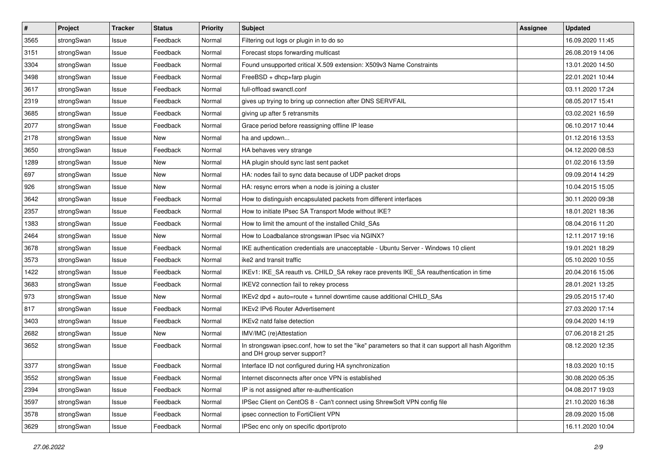| $\vert$ # | Project    | <b>Tracker</b> | <b>Status</b> | <b>Priority</b> | <b>Subject</b>                                                                                                                      | <b>Assignee</b> | <b>Updated</b>   |
|-----------|------------|----------------|---------------|-----------------|-------------------------------------------------------------------------------------------------------------------------------------|-----------------|------------------|
| 3565      | strongSwan | Issue          | Feedback      | Normal          | Filtering out logs or plugin in to do so                                                                                            |                 | 16.09.2020 11:45 |
| 3151      | strongSwan | Issue          | Feedback      | Normal          | Forecast stops forwarding multicast                                                                                                 |                 | 26.08.2019 14:06 |
| 3304      | strongSwan | Issue          | Feedback      | Normal          | Found unsupported critical X.509 extension: X509v3 Name Constraints                                                                 |                 | 13.01.2020 14:50 |
| 3498      | strongSwan | Issue          | Feedback      | Normal          | FreeBSD + dhcp+farp plugin                                                                                                          |                 | 22.01.2021 10:44 |
| 3617      | strongSwan | Issue          | Feedback      | Normal          | full-offload swanctl.conf                                                                                                           |                 | 03.11.2020 17:24 |
| 2319      | strongSwan | Issue          | Feedback      | Normal          | gives up trying to bring up connection after DNS SERVFAIL                                                                           |                 | 08.05.2017 15:41 |
| 3685      | strongSwan | Issue          | Feedback      | Normal          | giving up after 5 retransmits                                                                                                       |                 | 03.02.2021 16:59 |
| 2077      | strongSwan | Issue          | Feedback      | Normal          | Grace period before reassigning offline IP lease                                                                                    |                 | 06.10.2017 10:44 |
| 2178      | strongSwan | Issue          | New           | Normal          | ha and updown                                                                                                                       |                 | 01.12.2016 13:53 |
| 3650      | strongSwan | Issue          | Feedback      | Normal          | HA behaves very strange                                                                                                             |                 | 04.12.2020 08:53 |
| 1289      | strongSwan | Issue          | New           | Normal          | HA plugin should sync last sent packet                                                                                              |                 | 01.02.2016 13:59 |
| 697       | strongSwan | Issue          | <b>New</b>    | Normal          | HA: nodes fail to sync data because of UDP packet drops                                                                             |                 | 09.09.2014 14:29 |
| 926       | strongSwan | Issue          | New           | Normal          | HA: resync errors when a node is joining a cluster                                                                                  |                 | 10.04.2015 15:05 |
| 3642      | strongSwan | Issue          | Feedback      | Normal          | How to distinguish encapsulated packets from different interfaces                                                                   |                 | 30.11.2020 09:38 |
| 2357      | strongSwan | Issue          | Feedback      | Normal          | How to initiate IPsec SA Transport Mode without IKE?                                                                                |                 | 18.01.2021 18:36 |
| 1383      | strongSwan | Issue          | Feedback      | Normal          | How to limit the amount of the installed Child SAs                                                                                  |                 | 08.04.2016 11:20 |
| 2464      | strongSwan | Issue          | New           | Normal          | How to Loadbalance strongswan IPsec via NGINX?                                                                                      |                 | 12.11.2017 19:16 |
| 3678      | strongSwan | Issue          | Feedback      | Normal          | IKE authentication credentials are unacceptable - Ubuntu Server - Windows 10 client                                                 |                 | 19.01.2021 18:29 |
| 3573      | strongSwan | Issue          | Feedback      | Normal          | ike2 and transit traffic                                                                                                            |                 | 05.10.2020 10:55 |
| 1422      | strongSwan | Issue          | Feedback      | Normal          | IKEv1: IKE_SA reauth vs. CHILD_SA rekey race prevents IKE_SA reauthentication in time                                               |                 | 20.04.2016 15:06 |
| 3683      | strongSwan | Issue          | Feedback      | Normal          | IKEV2 connection fail to rekey process                                                                                              |                 | 28.01.2021 13:25 |
| 973       | strongSwan | Issue          | New           | Normal          | IKEv2 dpd + auto=route + tunnel downtime cause additional CHILD_SAs                                                                 |                 | 29.05.2015 17:40 |
| 817       | strongSwan | Issue          | Feedback      | Normal          | <b>IKEv2 IPv6 Router Advertisement</b>                                                                                              |                 | 27.03.2020 17:14 |
| 3403      | strongSwan | Issue          | Feedback      | Normal          | IKEv2 natd false detection                                                                                                          |                 | 09.04.2020 14:19 |
| 2682      | strongSwan | Issue          | New           | Normal          | IMV/IMC (re)Attestation                                                                                                             |                 | 07.06.2018 21:25 |
| 3652      | strongSwan | Issue          | Feedback      | Normal          | In strongswan ipsec.conf, how to set the "ike" parameters so that it can support all hash Algorithm<br>and DH group server support? |                 | 08.12.2020 12:35 |
| 3377      | strongSwan | Issue          | Feedback      | Normal          | Interface ID not configured during HA synchronization                                                                               |                 | 18.03.2020 10:15 |
| 3552      | strongSwan | Issue          | Feedback      | Normal          | Internet disconnects after once VPN is established                                                                                  |                 | 30.08.2020 05:35 |
| 2394      | strongSwan | Issue          | Feedback      | Normal          | IP is not assigned after re-authentication                                                                                          |                 | 04.08.2017 19:03 |
| 3597      | strongSwan | Issue          | Feedback      | Normal          | IPSec Client on CentOS 8 - Can't connect using ShrewSoft VPN config file                                                            |                 | 21.10.2020 16:38 |
| 3578      | strongSwan | Issue          | Feedback      | Normal          | ipsec connection to FortiClient VPN                                                                                                 |                 | 28.09.2020 15:08 |
| 3629      | strongSwan | Issue          | Feedback      | Normal          | IPSec enc only on specific dport/proto                                                                                              |                 | 16.11.2020 10:04 |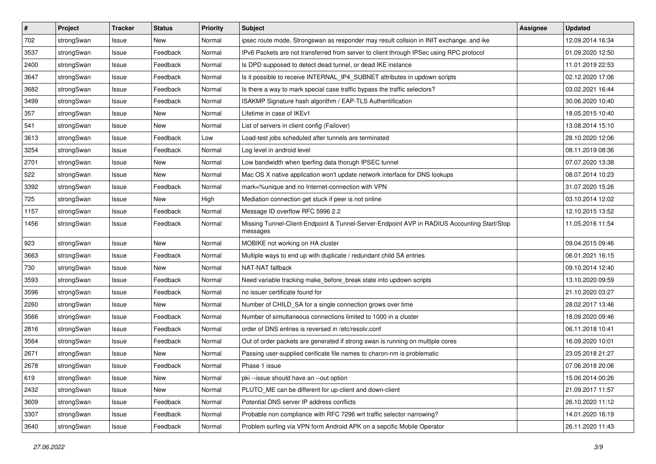| $\vert$ # | Project    | <b>Tracker</b> | <b>Status</b> | <b>Priority</b> | <b>Subject</b>                                                                                          | Assignee | <b>Updated</b>   |
|-----------|------------|----------------|---------------|-----------------|---------------------------------------------------------------------------------------------------------|----------|------------------|
| 702       | strongSwan | Issue          | New           | Normal          | ipsec route mode, Strongswan as responder may result collsion in INIT exchange, and ike                 |          | 12.09.2014 16:34 |
| 3537      | strongSwan | Issue          | Feedback      | Normal          | IPv6 Packets are not transferred from server to client through IPSec using RPC protocol                 |          | 01.09.2020 12:50 |
| 2400      | strongSwan | Issue          | Feedback      | Normal          | Is DPD supposed to detect dead tunnel, or dead IKE instance                                             |          | 11.01.2019 22:53 |
| 3647      | strongSwan | Issue          | Feedback      | Normal          | Is it possible to receive INTERNAL_IP4_SUBNET attributes in updown scripts                              |          | 02.12.2020 17:06 |
| 3682      | strongSwan | Issue          | Feedback      | Normal          | Is there a way to mark special case traffic bypass the traffic selectors?                               |          | 03.02.2021 16:44 |
| 3499      | strongSwan | Issue          | Feedback      | Normal          | ISAKMP Signature hash algorithm / EAP-TLS Authentification                                              |          | 30.06.2020 10:40 |
| 357       | strongSwan | Issue          | New           | Normal          | Lifetime in case of IKEv1                                                                               |          | 18.05.2015 10:40 |
| 541       | strongSwan | Issue          | New           | Normal          | List of servers in client config (Failover)                                                             |          | 13.08.2014 15:10 |
| 3613      | strongSwan | Issue          | Feedback      | Low             | Load-test jobs scheduled after tunnels are terminated                                                   |          | 28.10.2020 12:06 |
| 3254      | strongSwan | Issue          | Feedback      | Normal          | Log level in android level                                                                              |          | 08.11.2019 08:36 |
| 2701      | strongSwan | Issue          | New           | Normal          | Low bandwidth when Iperfing data thorugh IPSEC tunnel                                                   |          | 07.07.2020 13:38 |
| 522       | strongSwan | Issue          | New           | Normal          | Mac OS X native application won't update network interface for DNS lookups                              |          | 08.07.2014 10:23 |
| 3392      | strongSwan | Issue          | Feedback      | Normal          | mark=%unique and no Internet-connection with VPN                                                        |          | 31.07.2020 15:26 |
| 725       | strongSwan | lssue          | New           | High            | Mediation connection get stuck if peer is not online                                                    |          | 03.10.2014 12:02 |
| 1157      | strongSwan | Issue          | Feedback      | Normal          | Message ID overflow RFC 5996 2.2                                                                        |          | 12.10.2015 13:52 |
| 1456      | strongSwan | Issue          | Feedback      | Normal          | Missing Tunnel-Client-Endpoint & Tunnel-Server-Endpoint AVP in RADIUS Accounting Start/Stop<br>messages |          | 11.05.2016 11:54 |
| 923       | strongSwan | Issue          | <b>New</b>    | Normal          | MOBIKE not working on HA cluster                                                                        |          | 09.04.2015 09:46 |
| 3663      | strongSwan | Issue          | Feedback      | Normal          | Multiple ways to end up with duplicate / redundant child SA entries                                     |          | 06.01.2021 16:15 |
| 730       | strongSwan | Issue          | New           | Normal          | NAT-NAT fallback                                                                                        |          | 09.10.2014 12:40 |
| 3593      | strongSwan | Issue          | Feedback      | Normal          | Need variable tracking make_before_break state into updown scripts                                      |          | 13.10.2020 09:59 |
| 3596      | strongSwan | lssue          | Feedback      | Normal          | no issuer certificate found for                                                                         |          | 21.10.2020 03:27 |
| 2260      | strongSwan | Issue          | New           | Normal          | Number of CHILD_SA for a single connection grows over time                                              |          | 28.02.2017 13:46 |
| 3566      | strongSwan | Issue          | Feedback      | Normal          | Number of simultaneous connections limited to 1000 in a cluster                                         |          | 18.09.2020 09:46 |
| 2816      | strongSwan | Issue          | Feedback      | Normal          | order of DNS entries is reversed in /etc/resolv.conf                                                    |          | 06.11.2018 10:41 |
| 3564      | strongSwan | Issue          | Feedback      | Normal          | Out of order packets are generated if strong swan is running on multiple cores                          |          | 16.09.2020 10:01 |
| 2671      | strongSwan | Issue          | New           | Normal          | Passing user-supplied cerificate file names to charon-nm is problematic                                 |          | 23.05.2018 21:27 |
| 2678      | strongSwan | Issue          | Feedback      | Normal          | Phase 1 issue                                                                                           |          | 07.06.2018 20:06 |
| 619       | strongSwan | Issue          | New           | Normal          | pki --issue should have an --out option                                                                 |          | 15.06.2014 00:26 |
| 2432      | strongSwan | Issue          | New           | Normal          | PLUTO_ME can be different for up-client and down-client                                                 |          | 21.09.2017 11:57 |
| 3609      | strongSwan | Issue          | Feedback      | Normal          | Potential DNS server IP address conflicts                                                               |          | 26.10.2020 11:12 |
| 3307      | strongSwan | Issue          | Feedback      | Normal          | Probable non compliance with RFC 7296 wrt traffic selector narrowing?                                   |          | 14.01.2020 16:19 |
| 3640      | strongSwan | Issue          | Feedback      | Normal          | Problem surfing via VPN form Android APK on a sepcific Mobile Operator                                  |          | 26.11.2020 11:43 |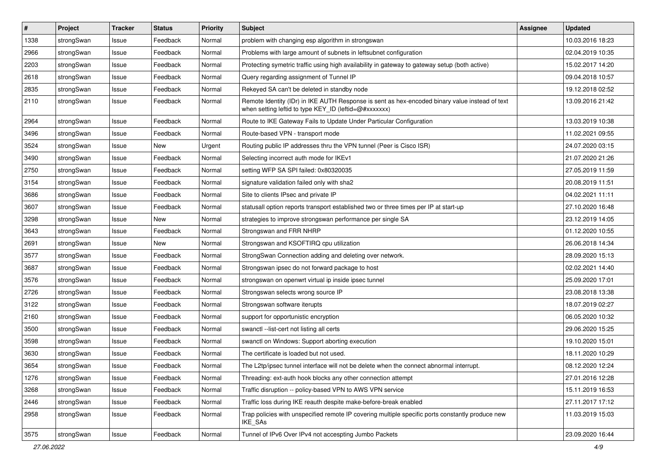| $\pmb{\#}$ | Project    | <b>Tracker</b> | <b>Status</b> | <b>Priority</b> | Subject                                                                                                                                                 | <b>Assignee</b> | <b>Updated</b>   |
|------------|------------|----------------|---------------|-----------------|---------------------------------------------------------------------------------------------------------------------------------------------------------|-----------------|------------------|
| 1338       | strongSwan | Issue          | Feedback      | Normal          | problem with changing esp algorithm in strongswan                                                                                                       |                 | 10.03.2016 18:23 |
| 2966       | strongSwan | Issue          | Feedback      | Normal          | Problems with large amount of subnets in leftsubnet configuration                                                                                       |                 | 02.04.2019 10:35 |
| 2203       | strongSwan | Issue          | Feedback      | Normal          | Protecting symetric traffic using high availability in gateway to gateway setup (both active)                                                           |                 | 15.02.2017 14:20 |
| 2618       | strongSwan | Issue          | Feedback      | Normal          | Query regarding assignment of Tunnel IP                                                                                                                 |                 | 09.04.2018 10:57 |
| 2835       | strongSwan | Issue          | Feedback      | Normal          | Rekeyed SA can't be deleted in standby node                                                                                                             |                 | 19.12.2018 02:52 |
| 2110       | strongSwan | Issue          | Feedback      | Normal          | Remote Identity (IDr) in IKE AUTH Response is sent as hex-encoded binary value instead of text<br>when setting leftid to type KEY_ID (leftid=@#xxxxxxx) |                 | 13.09.2016 21:42 |
| 2964       | strongSwan | Issue          | Feedback      | Normal          | Route to IKE Gateway Fails to Update Under Particular Configuration                                                                                     |                 | 13.03.2019 10:38 |
| 3496       | strongSwan | Issue          | Feedback      | Normal          | Route-based VPN - transport mode                                                                                                                        |                 | 11.02.2021 09:55 |
| 3524       | strongSwan | Issue          | New           | Urgent          | Routing public IP addresses thru the VPN tunnel (Peer is Cisco ISR)                                                                                     |                 | 24.07.2020 03:15 |
| 3490       | strongSwan | Issue          | Feedback      | Normal          | Selecting incorrect auth mode for IKEv1                                                                                                                 |                 | 21.07.2020 21:26 |
| 2750       | strongSwan | Issue          | Feedback      | Normal          | setting WFP SA SPI failed: 0x80320035                                                                                                                   |                 | 27.05.2019 11:59 |
| 3154       | strongSwan | Issue          | Feedback      | Normal          | signature validation failed only with sha2                                                                                                              |                 | 20.08.2019 11:51 |
| 3686       | strongSwan | Issue          | Feedback      | Normal          | Site to clients IPsec and private IP                                                                                                                    |                 | 04.02.2021 11:11 |
| 3607       | strongSwan | Issue          | Feedback      | Normal          | statusall option reports transport established two or three times per IP at start-up                                                                    |                 | 27.10.2020 16:48 |
| 3298       | strongSwan | Issue          | New           | Normal          | strategies to improve strongswan performance per single SA                                                                                              |                 | 23.12.2019 14:05 |
| 3643       | strongSwan | Issue          | Feedback      | Normal          | Strongswan and FRR NHRP                                                                                                                                 |                 | 01.12.2020 10:55 |
| 2691       | strongSwan | Issue          | New           | Normal          | Strongswan and KSOFTIRQ cpu utilization                                                                                                                 |                 | 26.06.2018 14:34 |
| 3577       | strongSwan | Issue          | Feedback      | Normal          | StrongSwan Connection adding and deleting over network.                                                                                                 |                 | 28.09.2020 15:13 |
| 3687       | strongSwan | Issue          | Feedback      | Normal          | Strongswan ipsec do not forward package to host                                                                                                         |                 | 02.02.2021 14:40 |
| 3576       | strongSwan | Issue          | Feedback      | Normal          | strongswan on openwrt virtual ip inside ipsec tunnel                                                                                                    |                 | 25.09.2020 17:01 |
| 2726       | strongSwan | Issue          | Feedback      | Normal          | Strongswan selects wrong source IP                                                                                                                      |                 | 23.08.2018 13:38 |
| 3122       | strongSwan | Issue          | Feedback      | Normal          | Strongswan software iterupts                                                                                                                            |                 | 18.07.2019 02:27 |
| 2160       | strongSwan | Issue          | Feedback      | Normal          | support for opportunistic encryption                                                                                                                    |                 | 06.05.2020 10:32 |
| 3500       | strongSwan | Issue          | Feedback      | Normal          | swanctl --list-cert not listing all certs                                                                                                               |                 | 29.06.2020 15:25 |
| 3598       | strongSwan | Issue          | Feedback      | Normal          | swanctl on Windows: Support aborting execution                                                                                                          |                 | 19.10.2020 15:01 |
| 3630       | strongSwan | Issue          | Feedback      | Normal          | The certificate is loaded but not used.                                                                                                                 |                 | 18.11.2020 10:29 |
| 3654       | strongSwan | Issue          | Feedback      | Normal          | The L2tp/ipsec tunnel interface will not be delete when the connect abnormal interrupt.                                                                 |                 | 08.12.2020 12:24 |
| 1276       | strongSwan | Issue          | Feedback      | Normal          | Threading: ext-auth hook blocks any other connection attempt                                                                                            |                 | 27.01.2016 12:28 |
| 3268       | strongSwan | Issue          | Feedback      | Normal          | Traffic disruption -- policy-based VPN to AWS VPN service                                                                                               |                 | 15.11.2019 16:53 |
| 2446       | strongSwan | Issue          | Feedback      | Normal          | Traffic loss during IKE reauth despite make-before-break enabled                                                                                        |                 | 27.11.2017 17:12 |
| 2958       | strongSwan | Issue          | Feedback      | Normal          | Trap policies with unspecified remote IP covering multiple specific ports constantly produce new<br>IKE_SAs                                             |                 | 11.03.2019 15:03 |
| 3575       | strongSwan | Issue          | Feedback      | Normal          | Tunnel of IPv6 Over IPv4 not accespting Jumbo Packets                                                                                                   |                 | 23.09.2020 16:44 |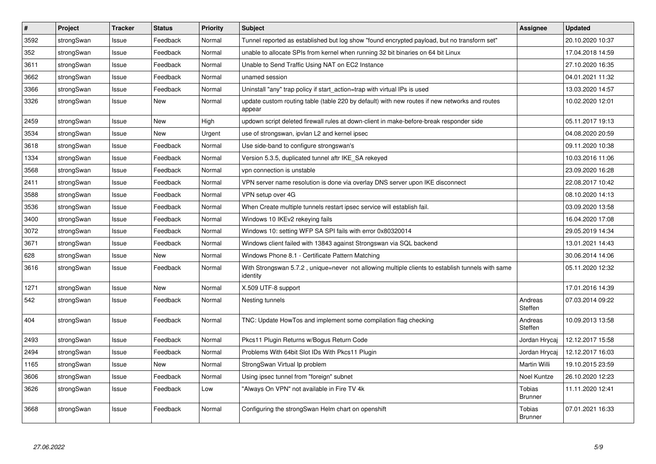| $\vert$ # | Project    | <b>Tracker</b> | <b>Status</b> | Priority | <b>Subject</b>                                                                                               | Assignee                 | <b>Updated</b>   |
|-----------|------------|----------------|---------------|----------|--------------------------------------------------------------------------------------------------------------|--------------------------|------------------|
| 3592      | strongSwan | Issue          | Feedback      | Normal   | Tunnel reported as established but log show "found encrypted payload, but no transform set"                  |                          | 20.10.2020 10:37 |
| 352       | strongSwan | Issue          | Feedback      | Normal   | unable to allocate SPIs from kernel when running 32 bit binaries on 64 bit Linux                             |                          | 17.04.2018 14:59 |
| 3611      | strongSwan | Issue          | Feedback      | Normal   | Unable to Send Traffic Using NAT on EC2 Instance                                                             |                          | 27.10.2020 16:35 |
| 3662      | strongSwan | Issue          | Feedback      | Normal   | unamed session                                                                                               |                          | 04.01.2021 11:32 |
| 3366      | strongSwan | Issue          | Feedback      | Normal   | Uninstall "any" trap policy if start_action=trap with virtual IPs is used                                    |                          | 13.03.2020 14:57 |
| 3326      | strongSwan | Issue          | New           | Normal   | update custom routing table (table 220 by default) with new routes if new networks and routes<br>appear      |                          | 10.02.2020 12:01 |
| 2459      | strongSwan | Issue          | <b>New</b>    | High     | updown script deleted firewall rules at down-client in make-before-break responder side                      |                          | 05.11.2017 19:13 |
| 3534      | strongSwan | Issue          | New           | Urgent   | use of strongswan, ipvlan L2 and kernel ipsec                                                                |                          | 04.08.2020 20:59 |
| 3618      | strongSwan | Issue          | Feedback      | Normal   | Use side-band to configure strongswan's                                                                      |                          | 09.11.2020 10:38 |
| 1334      | strongSwan | Issue          | Feedback      | Normal   | Version 5.3.5, duplicated tunnel aftr IKE SA rekeyed                                                         |                          | 10.03.2016 11:06 |
| 3568      | strongSwan | Issue          | Feedback      | Normal   | vpn connection is unstable                                                                                   |                          | 23.09.2020 16:28 |
| 2411      | strongSwan | Issue          | Feedback      | Normal   | VPN server name resolution is done via overlay DNS server upon IKE disconnect                                |                          | 22.08.2017 10:42 |
| 3588      | strongSwan | Issue          | Feedback      | Normal   | VPN setup over 4G                                                                                            |                          | 08.10.2020 14:13 |
| 3536      | strongSwan | Issue          | Feedback      | Normal   | When Create multiple tunnels restart ipsec service will establish fail.                                      |                          | 03.09.2020 13:58 |
| 3400      | strongSwan | Issue          | Feedback      | Normal   | Windows 10 IKEv2 rekeying fails                                                                              |                          | 16.04.2020 17:08 |
| 3072      | strongSwan | Issue          | Feedback      | Normal   | Windows 10: setting WFP SA SPI fails with error 0x80320014                                                   |                          | 29.05.2019 14:34 |
| 3671      | strongSwan | Issue          | Feedback      | Normal   | Windows client failed with 13843 against Strongswan via SQL backend                                          |                          | 13.01.2021 14:43 |
| 628       | strongSwan | Issue          | <b>New</b>    | Normal   | Windows Phone 8.1 - Certificate Pattern Matching                                                             |                          | 30.06.2014 14:06 |
| 3616      | strongSwan | Issue          | Feedback      | Normal   | With Strongswan 5.7.2, unique=never not allowing multiple clients to establish tunnels with same<br>identity |                          | 05.11.2020 12:32 |
| 1271      | strongSwan | Issue          | <b>New</b>    | Normal   | X.509 UTF-8 support                                                                                          |                          | 17.01.2016 14:39 |
| 542       | strongSwan | Issue          | Feedback      | Normal   | Nesting tunnels                                                                                              | Andreas<br>Steffen       | 07.03.2014 09:22 |
| 404       | strongSwan | Issue          | Feedback      | Normal   | TNC: Update HowTos and implement some compilation flag checking                                              | Andreas<br>Steffen       | 10.09.2013 13:58 |
| 2493      | strongSwan | Issue          | Feedback      | Normal   | Pkcs11 Plugin Returns w/Bogus Return Code                                                                    | Jordan Hrycaj            | 12.12.2017 15:58 |
| 2494      | strongSwan | Issue          | Feedback      | Normal   | Problems With 64bit Slot IDs With Pkcs11 Plugin                                                              | Jordan Hrycaj            | 12.12.2017 16:03 |
| 1165      | strongSwan | Issue          | <b>New</b>    | Normal   | StrongSwan Virtual Ip problem                                                                                | Martin Willi             | 19.10.2015 23:59 |
| 3606      | strongSwan | Issue          | Feedback      | Normal   | Using ipsec tunnel from "foreign" subnet                                                                     | Noel Kuntze              | 26.10.2020 12:23 |
| 3626      | strongSwan | Issue          | Feedback      | Low      | "Always On VPN" not available in Fire TV 4k                                                                  | Tobias<br><b>Brunner</b> | 11.11.2020 12:41 |
| 3668      | strongSwan | Issue          | Feedback      | Normal   | Configuring the strongSwan Helm chart on openshift                                                           | Tobias<br><b>Brunner</b> | 07.01.2021 16:33 |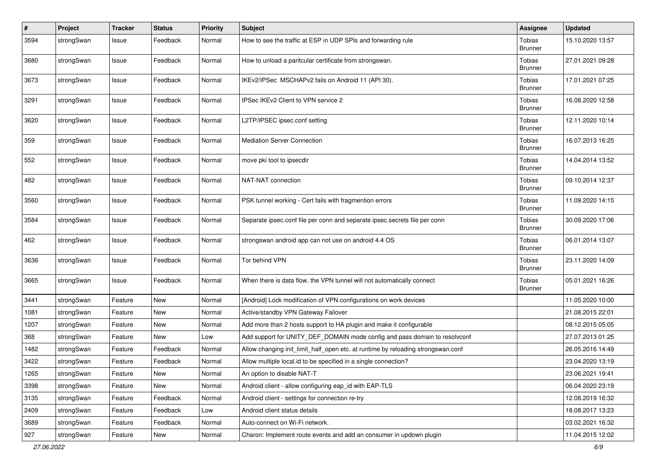| $\sharp$ | Project    | <b>Tracker</b> | <b>Status</b> | <b>Priority</b> | <b>Subject</b>                                                                   | Assignee                 | <b>Updated</b>   |
|----------|------------|----------------|---------------|-----------------|----------------------------------------------------------------------------------|--------------------------|------------------|
| 3594     | strongSwan | Issue          | Feedback      | Normal          | How to see the traffic at ESP in UDP SPIs and forwarding rule                    | Tobias<br><b>Brunner</b> | 15.10.2020 13:57 |
| 3680     | strongSwan | Issue          | Feedback      | Normal          | How to unload a paritcular certificate from strongswan.                          | Tobias<br><b>Brunner</b> | 27.01.2021 09:28 |
| 3673     | strongSwan | Issue          | Feedback      | Normal          | IKEv2/IPSec MSCHAPv2 fails on Android 11 (API 30).                               | Tobias<br><b>Brunner</b> | 17.01.2021 07:25 |
| 3291     | strongSwan | Issue          | Feedback      | Normal          | IPSec IKEv2 Client to VPN service 2                                              | Tobias<br><b>Brunner</b> | 16.08.2020 12:58 |
| 3620     | strongSwan | Issue          | Feedback      | Normal          | L2TP/IPSEC ipsec.conf setting                                                    | Tobias<br><b>Brunner</b> | 12.11.2020 10:14 |
| 359      | strongSwan | Issue          | Feedback      | Normal          | <b>Mediation Server Connection</b>                                               | Tobias<br><b>Brunner</b> | 16.07.2013 16:25 |
| 552      | strongSwan | Issue          | Feedback      | Normal          | move pki tool to ipsecdir                                                        | Tobias<br><b>Brunner</b> | 14.04.2014 13:52 |
| 482      | strongSwan | Issue          | Feedback      | Normal          | NAT-NAT connection                                                               | Tobias<br><b>Brunner</b> | 09.10.2014 12:37 |
| 3560     | strongSwan | Issue          | Feedback      | Normal          | PSK tunnel working - Cert fails with fragmention errors                          | Tobias<br><b>Brunner</b> | 11.09.2020 14:15 |
| 3584     | strongSwan | Issue          | Feedback      | Normal          | Separate ipsec.conf file per conn and separate ipsec.secrets file per conn       | Tobias<br><b>Brunner</b> | 30.09.2020 17:06 |
| 462      | strongSwan | Issue          | Feedback      | Normal          | strongswan android app can not use on android 4.4 OS                             | Tobias<br><b>Brunner</b> | 06.01.2014 13:07 |
| 3636     | strongSwan | Issue          | Feedback      | Normal          | Tor behind VPN                                                                   | Tobias<br><b>Brunner</b> | 23.11.2020 14:09 |
| 3665     | strongSwan | Issue          | Feedback      | Normal          | When there is data flow, the VPN tunnel will not automatically connect           | Tobias<br><b>Brunner</b> | 05.01.2021 16:26 |
| 3441     | strongSwan | Feature        | <b>New</b>    | Normal          | [Android] Lock modification of VPN configurations on work devices                |                          | 11.05.2020 10:00 |
| 1081     | strongSwan | Feature        | New           | Normal          | Active/standby VPN Gateway Failover                                              |                          | 21.08.2015 22:01 |
| 1207     | strongSwan | Feature        | <b>New</b>    | Normal          | Add more than 2 hosts support to HA plugin and make it configurable              |                          | 08.12.2015 05:05 |
| 368      | strongSwan | Feature        | New           | Low             | Add support for UNITY_DEF_DOMAIN mode config and pass domain to resolvconf       |                          | 27.07.2013 01:25 |
| 1482     | strongSwan | Feature        | Feedback      | Normal          | Allow changing init_limit_half_open etc. at runtime by reloading strongswan.conf |                          | 26.05.2016 14:49 |
| 3422     | strongSwan | Feature        | Feedback      | Normal          | Allow multiple local.id to be specified in a single connection?                  |                          | 23.04.2020 13:19 |
| 1265     | strongSwan | Feature        | New           | Normal          | An option to disable NAT-T                                                       |                          | 23.06.2021 19:41 |
| 3398     | strongSwan | Feature        | New           | Normal          | Android client - allow configuring eap_id with EAP-TLS                           |                          | 06.04.2020 23:19 |
| 3135     | strongSwan | Feature        | Feedback      | Normal          | Android client - settings for connection re-try                                  |                          | 12.08.2019 16:32 |
| 2409     | strongSwan | Feature        | Feedback      | Low             | Android client status details                                                    |                          | 18.08.2017 13:23 |
| 3689     | strongSwan | Feature        | Feedback      | Normal          | Auto-connect on Wi-Fi network.                                                   |                          | 03.02.2021 16:32 |
| 927      | strongSwan | Feature        | New           | Normal          | Charon: Implement route events and add an consumer in updown plugin              |                          | 11.04.2015 12:02 |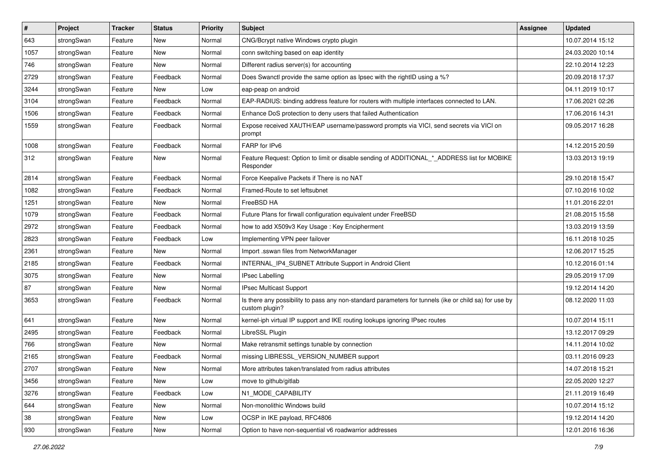| $\pmb{\#}$ | Project    | <b>Tracker</b> | <b>Status</b> | <b>Priority</b> | <b>Subject</b>                                                                                                          | <b>Assignee</b> | <b>Updated</b>   |
|------------|------------|----------------|---------------|-----------------|-------------------------------------------------------------------------------------------------------------------------|-----------------|------------------|
| 643        | strongSwan | Feature        | New           | Normal          | CNG/Bcrypt native Windows crypto plugin                                                                                 |                 | 10.07.2014 15:12 |
| 1057       | strongSwan | Feature        | New           | Normal          | conn switching based on eap identity                                                                                    |                 | 24.03.2020 10:14 |
| 746        | strongSwan | Feature        | New           | Normal          | Different radius server(s) for accounting                                                                               |                 | 22.10.2014 12:23 |
| 2729       | strongSwan | Feature        | Feedback      | Normal          | Does Swanctl provide the same option as Ipsec with the rightID using a %?                                               |                 | 20.09.2018 17:37 |
| 3244       | strongSwan | Feature        | New           | Low             | eap-peap on android                                                                                                     |                 | 04.11.2019 10:17 |
| 3104       | strongSwan | Feature        | Feedback      | Normal          | EAP-RADIUS: binding address feature for routers with multiple interfaces connected to LAN.                              |                 | 17.06.2021 02:26 |
| 1506       | strongSwan | Feature        | Feedback      | Normal          | Enhance DoS protection to deny users that failed Authentication                                                         |                 | 17.06.2016 14:31 |
| 1559       | strongSwan | Feature        | Feedback      | Normal          | Expose received XAUTH/EAP username/password prompts via VICI, send secrets via VICI on<br>prompt                        |                 | 09.05.2017 16:28 |
| 1008       | strongSwan | Feature        | Feedback      | Normal          | FARP for IPv6                                                                                                           |                 | 14.12.2015 20:59 |
| 312        | strongSwan | Feature        | New           | Normal          | Feature Request: Option to limit or disable sending of ADDITIONAL_*_ADDRESS list for MOBIKE<br>Responder                |                 | 13.03.2013 19:19 |
| 2814       | strongSwan | Feature        | Feedback      | Normal          | Force Keepalive Packets if There is no NAT                                                                              |                 | 29.10.2018 15:47 |
| 1082       | strongSwan | Feature        | Feedback      | Normal          | Framed-Route to set leftsubnet                                                                                          |                 | 07.10.2016 10:02 |
| 1251       | strongSwan | Feature        | New           | Normal          | FreeBSD HA                                                                                                              |                 | 11.01.2016 22:01 |
| 1079       | strongSwan | Feature        | Feedback      | Normal          | Future Plans for firwall configuration equivalent under FreeBSD                                                         |                 | 21.08.2015 15:58 |
| 2972       | strongSwan | Feature        | Feedback      | Normal          | how to add X509v3 Key Usage: Key Encipherment                                                                           |                 | 13.03.2019 13:59 |
| 2823       | strongSwan | Feature        | Feedback      | Low             | Implementing VPN peer failover                                                                                          |                 | 16.11.2018 10:25 |
| 2361       | strongSwan | Feature        | New           | Normal          | Import .sswan files from NetworkManager                                                                                 |                 | 12.06.2017 15:25 |
| 2185       | strongSwan | Feature        | Feedback      | Normal          | INTERNAL_IP4_SUBNET Attribute Support in Android Client                                                                 |                 | 10.12.2016 01:14 |
| 3075       | strongSwan | Feature        | New           | Normal          | <b>IPsec Labelling</b>                                                                                                  |                 | 29.05.2019 17:09 |
| 87         | strongSwan | Feature        | New           | Normal          | IPsec Multicast Support                                                                                                 |                 | 19.12.2014 14:20 |
| 3653       | strongSwan | Feature        | Feedback      | Normal          | Is there any possibility to pass any non-standard parameters for tunnels (ike or child sa) for use by<br>custom plugin? |                 | 08.12.2020 11:03 |
| 641        | strongSwan | Feature        | New           | Normal          | kernel-iph virtual IP support and IKE routing lookups ignoring IPsec routes                                             |                 | 10.07.2014 15:11 |
| 2495       | strongSwan | Feature        | Feedback      | Normal          | LibreSSL Plugin                                                                                                         |                 | 13.12.2017 09:29 |
| 766        | strongSwan | Feature        | New           | Normal          | Make retransmit settings tunable by connection                                                                          |                 | 14.11.2014 10:02 |
| 2165       | strongSwan | Feature        | Feedback      | Normal          | missing LIBRESSL VERSION NUMBER support                                                                                 |                 | 03.11.2016 09:23 |
| 2707       | strongSwan | Feature        | New           | Normal          | More attributes taken/translated from radius attributes                                                                 |                 | 14.07.2018 15:21 |
| 3456       | strongSwan | Feature        | New           | Low             | move to github/gitlab                                                                                                   |                 | 22.05.2020 12:27 |
| 3276       | strongSwan | Feature        | Feedback      | Low             | N1_MODE_CAPABILITY                                                                                                      |                 | 21.11.2019 16:49 |
| 644        | strongSwan | Feature        | New           | Normal          | Non-monolithic Windows build                                                                                            |                 | 10.07.2014 15:12 |
| 38         | strongSwan | Feature        | New           | Low             | OCSP in IKE payload, RFC4806                                                                                            |                 | 19.12.2014 14:20 |
| 930        | strongSwan | Feature        | New           | Normal          | Option to have non-sequential v6 roadwarrior addresses                                                                  |                 | 12.01.2016 16:36 |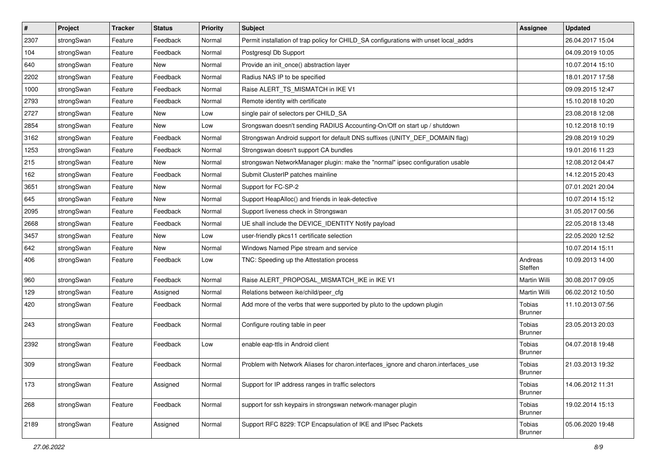| $\pmb{\#}$ | Project    | <b>Tracker</b> | <b>Status</b> | <b>Priority</b> | <b>Subject</b>                                                                        | <b>Assignee</b>                 | <b>Updated</b>   |
|------------|------------|----------------|---------------|-----------------|---------------------------------------------------------------------------------------|---------------------------------|------------------|
| 2307       | strongSwan | Feature        | Feedback      | Normal          | Permit installation of trap policy for CHILD_SA configurations with unset local_addrs |                                 | 26.04.2017 15:04 |
| 104        | strongSwan | Feature        | Feedback      | Normal          | Postgresql Db Support                                                                 |                                 | 04.09.2019 10:05 |
| 640        | strongSwan | Feature        | New           | Normal          | Provide an init_once() abstraction layer                                              |                                 | 10.07.2014 15:10 |
| 2202       | strongSwan | Feature        | Feedback      | Normal          | Radius NAS IP to be specified                                                         |                                 | 18.01.2017 17:58 |
| 1000       | strongSwan | Feature        | Feedback      | Normal          | Raise ALERT_TS_MISMATCH in IKE V1                                                     |                                 | 09.09.2015 12:47 |
| 2793       | strongSwan | Feature        | Feedback      | Normal          | Remote identity with certificate                                                      |                                 | 15.10.2018 10:20 |
| 2727       | strongSwan | Feature        | New           | Low             | single pair of selectors per CHILD_SA                                                 |                                 | 23.08.2018 12:08 |
| 2854       | strongSwan | Feature        | New           | Low             | Srongswan doesn't sending RADIUS Accounting-On/Off on start up / shutdown             |                                 | 10.12.2018 10:19 |
| 3162       | strongSwan | Feature        | Feedback      | Normal          | Strongswan Android support for default DNS suffixes (UNITY_DEF_DOMAIN flag)           |                                 | 29.08.2019 10:29 |
| 1253       | strongSwan | Feature        | Feedback      | Normal          | Strongswan doesn't support CA bundles                                                 |                                 | 19.01.2016 11:23 |
| 215        | strongSwan | Feature        | New           | Normal          | strongswan NetworkManager plugin: make the "normal" ipsec configuration usable        |                                 | 12.08.2012 04:47 |
| 162        | strongSwan | Feature        | Feedback      | Normal          | Submit ClusterIP patches mainline                                                     |                                 | 14.12.2015 20:43 |
| 3651       | strongSwan | Feature        | New           | Normal          | Support for FC-SP-2                                                                   |                                 | 07.01.2021 20:04 |
| 645        | strongSwan | Feature        | New           | Normal          | Support HeapAlloc() and friends in leak-detective                                     |                                 | 10.07.2014 15:12 |
| 2095       | strongSwan | Feature        | Feedback      | Normal          | Support liveness check in Strongswan                                                  |                                 | 31.05.2017 00:56 |
| 2668       | strongSwan | Feature        | Feedback      | Normal          | UE shall include the DEVICE_IDENTITY Notify payload                                   |                                 | 22.05.2018 13:48 |
| 3457       | strongSwan | Feature        | New           | Low             | user-friendly pkcs11 certificate selection                                            |                                 | 22.05.2020 12:52 |
| 642        | strongSwan | Feature        | New           | Normal          | Windows Named Pipe stream and service                                                 |                                 | 10.07.2014 15:11 |
| 406        | strongSwan | Feature        | Feedback      | Low             | TNC: Speeding up the Attestation process                                              | Andreas<br>Steffen              | 10.09.2013 14:00 |
| 960        | strongSwan | Feature        | Feedback      | Normal          | Raise ALERT_PROPOSAL_MISMATCH_IKE in IKE V1                                           | Martin Willi                    | 30.08.2017 09:05 |
| 129        | strongSwan | Feature        | Assigned      | Normal          | Relations between ike/child/peer_cfg                                                  | Martin Willi                    | 06.02.2012 10:50 |
| 420        | strongSwan | Feature        | Feedback      | Normal          | Add more of the verbs that were supported by pluto to the updown plugin               | <b>Tobias</b><br><b>Brunner</b> | 11.10.2013 07:56 |
| 243        | strongSwan | Feature        | Feedback      | Normal          | Configure routing table in peer                                                       | Tobias<br><b>Brunner</b>        | 23.05.2013 20:03 |
| 2392       | strongSwan | Feature        | Feedback      | Low             | enable eap-ttls in Android client                                                     | Tobias<br><b>Brunner</b>        | 04.07.2018 19:48 |
| 309        | strongSwan | Feature        | Feedback      | Normal          | Problem with Network Aliases for charon.interfaces_ignore and charon.interfaces_use   | Tobias<br><b>Brunner</b>        | 21.03.2013 19:32 |
| 173        | strongSwan | Feature        | Assigned      | Normal          | Support for IP address ranges in traffic selectors                                    | Tobias<br><b>Brunner</b>        | 14.06.2012 11:31 |
| 268        | strongSwan | Feature        | Feedback      | Normal          | support for ssh keypairs in strongswan network-manager plugin                         | Tobias<br><b>Brunner</b>        | 19.02.2014 15:13 |
| 2189       | strongSwan | Feature        | Assigned      | Normal          | Support RFC 8229: TCP Encapsulation of IKE and IPsec Packets                          | Tobias<br><b>Brunner</b>        | 05.06.2020 19:48 |